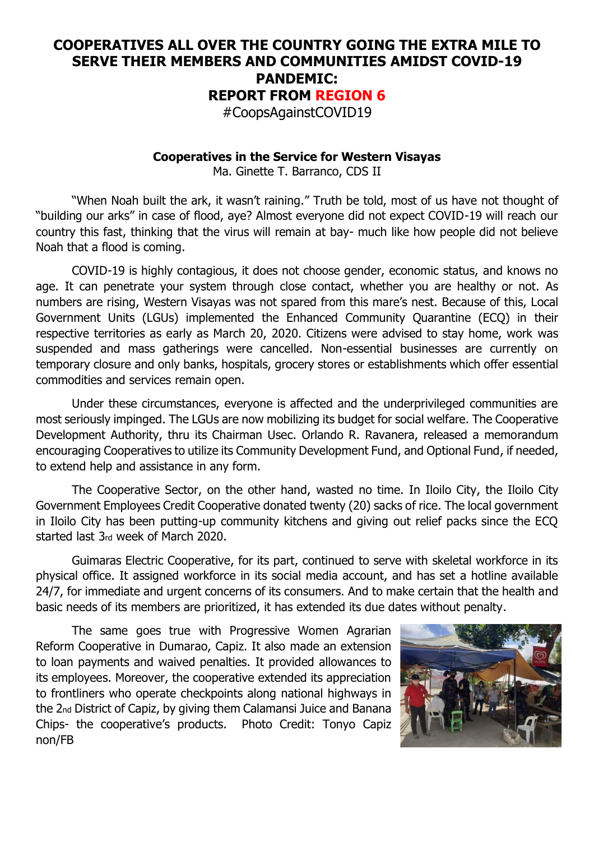## **COOPERATIVES ALL OVER THE COUNTRY GOING THE EXTRA MILE TO SERVE THEIR MEMBERS AND COMMUNITIES AMIDST COVID-19 PANDEMIC: REPORT FROM REGION 6**

#CoopsAgainstCOVID19

## **Cooperatives in the Service for Western Visayas**

Ma. Ginette T. Barranco, CDS II

"When Noah built the ark, it wasn't raining." Truth be told, most of us have not thought of "building our arks" in case of flood, aye? Almost everyone did not expect COVID-19 will reach our country this fast, thinking that the virus will remain at bay- much like how people did not believe Noah that a flood is coming.

COVID-19 is highly contagious, it does not choose gender, economic status, and knows no age. It can penetrate your system through close contact, whether you are healthy or not. As numbers are rising, Western Visayas was not spared from this mare's nest. Because of this, Local Government Units (LGUs) implemented the Enhanced Community Quarantine (ECQ) in their respective territories as early as March 20, 2020. Citizens were advised to stay home, work was suspended and mass gatherings were cancelled. Non-essential businesses are currently on temporary closure and only banks, hospitals, grocery stores or establishments which offer essential commodities and services remain open.

Under these circumstances, everyone is affected and the underprivileged communities are most seriously impinged. The LGUs are now mobilizing its budget for social welfare. The Cooperative Development Authority, thru its Chairman Usec. Orlando R. Ravanera, released a memorandum encouraging Cooperatives to utilize its Community Development Fund, and Optional Fund, if needed, to extend help and assistance in any form.

The Cooperative Sector, on the other hand, wasted no time. In Iloilo City, the Iloilo City Government Employees Credit Cooperative donated twenty (20) sacks of rice. The local government in Iloilo City has been putting-up community kitchens and giving out relief packs since the ECQ started last 3rd week of March 2020.

Guimaras Electric Cooperative, for its part, continued to serve with skeletal workforce in its physical office. It assigned workforce in its social media account, and has set a hotline available 24/7, for immediate and urgent concerns of its consumers. And to make certain that the health and basic needs of its members are prioritized, it has extended its due dates without penalty.

The same goes true with Progressive Women Agrarian Reform Cooperative in Dumarao, Capiz. It also made an extension to loan payments and waived penalties. It provided allowances to its employees. Moreover, the cooperative extended its appreciation to frontliners who operate checkpoints along national highways in the 2nd District of Capiz, by giving them Calamansi Juice and Banana Chips- the cooperative's products. Photo Credit: Tonyo Capiz non/FB